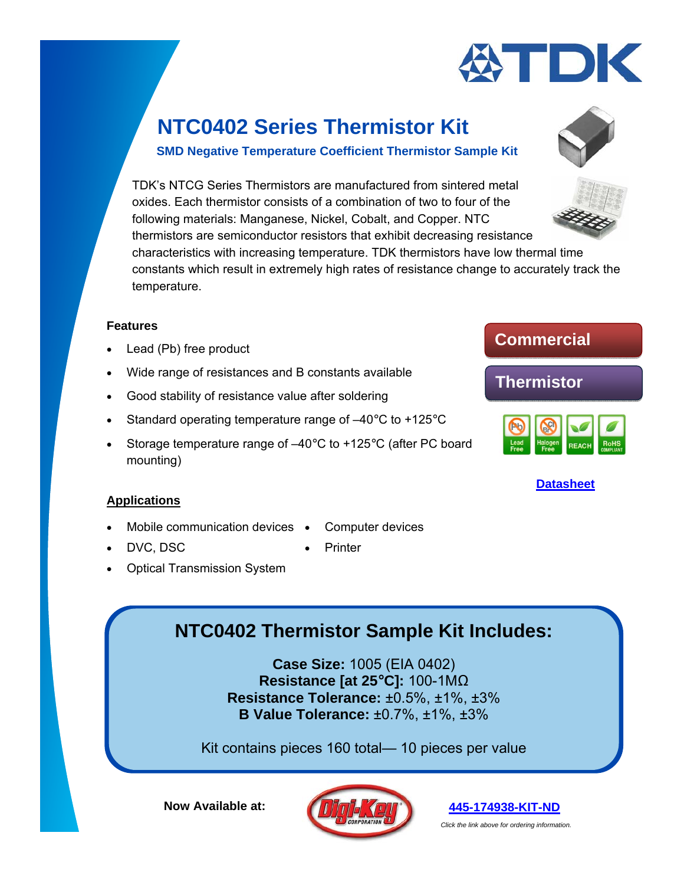

### **SMD Negative Temperature Coefficient Thermistor Sample Kit**

TDK's NTCG Series Thermistors are manufactured from sintered metal oxides. Each thermistor consists of a combination of two to four of the following materials: Manganese, Nickel, Cobalt, and Copper. NTC thermistors are semiconductor resistors that exhibit decreasing resistance characteristics with increasing temperature. TDK thermistors have low thermal time constants which result in extremely high rates of resistance change to accurately track the temperature.

#### **Features**

- Lead (Pb) free product
- Wide range of resistances and B constants available
- Good stability of resistance value after soldering
- Standard operating temperature range of  $-40^{\circ}$ C to  $+125^{\circ}$ C
- Storage temperature range of –40°C to +125°C (after PC board mounting)

### **Applications**

- Mobile communication devices Computer devices
- DVC, DSC **CONTINUES Printer** 
	-
- Optical Transmission System

## **NTC0402 Thermistor Sample Kit Includes:**

**Case Size:** 1005 (EIA 0402) **Resistance [at 25°C]:** 100-1MΩ **Resistance Tolerance:** ±0.5%, ±1%, ±3% **B Value Tolerance:** ±0.7%, ±1%, ±3%

Kit contains pieces 160 total— 10 pieces per value

**Now Available at:** 





*Click the link above for ordering information.* 



### **Thermistor**





**[Datasheet](https://product.tdk.com/info/en/catalog/datasheets/tpd_ntc-thermistor_ntcg_en.pdf)**